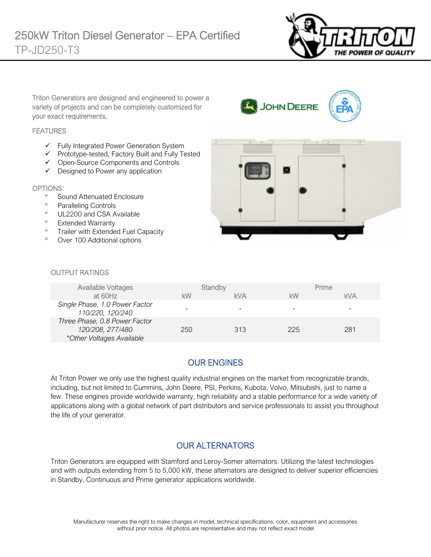

Triton Generators are designed and engineered to power a variety of projects and can be completely customized for your exact requirements.

#### **FEATURES**

- ✓ Fully Integrated Power Generation System
- ✓ Prototype-tested, Factory Built and Fully Tested
- ✓ Open-Source Components and Controls
- ✓ Designed to Power any application

#### OPTIONS:

- <sup>o</sup> Sound Attenuated Enclosure
- <sup>o</sup> Paralleling Controls
- <sup>o</sup> UL2200 and CSA Available
- <sup>o</sup> Extended Warranty
- <sup>o</sup> Trailer with Extended Fuel Capacity
- Over 100 Additional options



JOHN DEERE

#### OUTPUT RATINGS

| <b>Available Voltages</b><br>at 60Hz                                           | Standby<br>kW | <b>kVA</b> | Prime<br>kW | <b>kVA</b> |
|--------------------------------------------------------------------------------|---------------|------------|-------------|------------|
| Single Phase, 1.0 Power Factor<br>110/220, 120/240                             |               |            | -           | -          |
| Three Phase, 0.8 Power Factor<br>120/208, 277/480<br>*Other Voltages Available | 250           | 313        | 225         | 281        |

# OUR ENGINES

At Triton Power we only use the highest quality industrial engines on the market from recognizable brands, including, but not limited to Cummins, John Deere, PSI, Perkins, Kubota, Volvo, Mitsubishi, just to name a few. These engines provide worldwide warranty, high reliability and a stable performance for a wide variety of applications along with a global network of part distributors and service professionals to assist you throughout the life of your generator.

#### OUR ALTERNATORS

Triton Generators are equipped with Stamford and Leroy-Somer alternators. Utilizing the latest technologies and with outputs extending from 5 to 5,000 kW, these alternators are designed to deliver superior efficiencies in Standby, Continuous and Prime generator applications worldwide.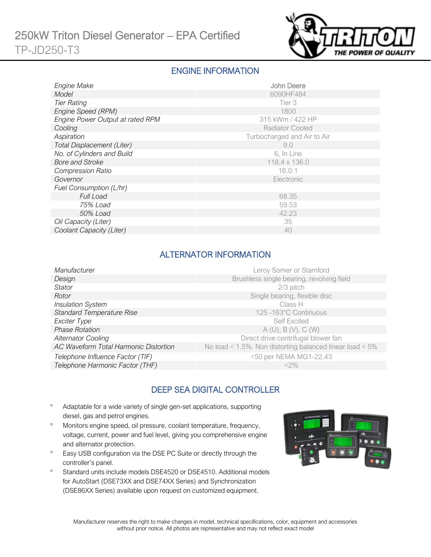

### ENGINE INFORMATION

| Engine Make                      | <b>John Deere</b>           |
|----------------------------------|-----------------------------|
| Model                            | 6090HF484                   |
| <b>Tier Rating</b>               | Tier 3                      |
| Engine Speed (RPM)               | 1800                        |
| Engine Power Output at rated RPM | 315 kWm / 422 HP            |
| Cooling                          | <b>Radiator Cooled</b>      |
| Aspiration                       | Turbocharged and Air to Air |
| Total Displacement (Liter)       | 9.0                         |
| No. of Cylinders and Build       | 6, In Line                  |
| <b>Bore and Stroke</b>           | 118.4 x 136.0               |
| <b>Compression Ratio</b>         | 16.0:1                      |
| Governor                         | Electronic                  |
| Fuel Consumption (L/hr)          |                             |
| <b>Full Load</b>                 | 68.35                       |
| 75% Load                         | 59.53                       |
| 50% Load                         | 42.23                       |
| Oil Capacity (Liter)             | 35                          |
| Coolant Capacity (Liter)         | 40                          |

# ALTERNATOR INFORMATION

| Manufacturer                          | Leroy Somer or Stamford                                         |
|---------------------------------------|-----------------------------------------------------------------|
| Design                                | Brushless single bearing, revolving field                       |
| Stator                                | 2/3 pitch                                                       |
| Rotor                                 | Single bearing, flexible disc                                   |
| <b>Insulation System</b>              | Class H                                                         |
| <b>Standard Temperature Rise</b>      | 125 -163°C Continuous                                           |
| Exciter Type                          | <b>Self Excited</b>                                             |
| <b>Phase Rotation</b>                 | A(U), B(V), C(W)                                                |
| <b>Alternator Cooling</b>             | Direct drive centrifugal blower fan                             |
| AC Waveform Total Harmonic Distortion | No load < $1.5\%$ . Non distorting balanced linear load < $5\%$ |
| Telephone Influence Factor (TIF)      | <50 per NEMA MG1-22.43                                          |
| Telephone Harmonic Factor (THF)       | $<$ 2%                                                          |
|                                       |                                                                 |

# DEEP SEA DIGITAL CONTROLLER

- Adaptable for a wide variety of single gen-set applications, supporting diesel, gas and petrol engines.
- Monitors engine speed, oil pressure, coolant temperature, frequency, voltage, current, power and fuel level, giving you comprehensive engine and alternator protection.
- <sup>o</sup> Easy USB configuration via the DSE PC Suite or directly through the controller's panel.
- <sup>o</sup> Standard units include models DSE4520 or DSE4510. Additional models for AutoStart (DSE73XX and DSE74XX Series) and Synchronization (DSE86XX Series) available upon request on customized equipment.

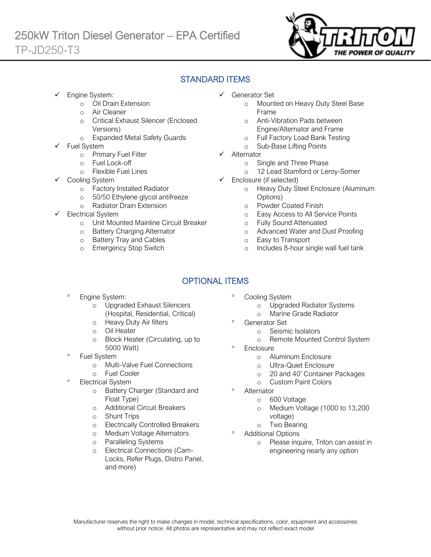

# STANDARD ITEMS

Engine System:

Ī

- o Oil Drain Extension
- o Air Cleaner
- o Critical Exhaust Silencer (Enclosed Versions)
- o Expanded Metal Safety Guards
- Fuel System
	- o Primary Fuel Filter
	- o Fuel Lock-off
		- o Flexible Fuel Lines
	- Cooling System
		- o Factory Installed Radiator
		- o 50/50 Ethylene glycol antifreeze
		- o Radiator Drain Extension
- Electrical System
	- o Unit Mounted Mainline Circuit Breaker
	- o Battery Charging Alternator
	- o Battery Tray and Cables
	- o Emergency Stop Switch
- ✓ Generator Set
	- o Mounted on Heavy Duty Steel Base Frame
	- o Anti-Vibration Pads between Engine/Alternator and Frame
	- o Full Factory Load Bank Testing
	- o Sub-Base Lifting Points
- ✓ Alternator
	- o Single and Three Phase
	- o 12 Lead Stamford or Leroy-Somer
- ✓ Enclosure (if selected)
	- o Heavy Duty Steel Enclosure (Aluminum Options)
	- o Powder Coated Finish
	- o Easy Access to All Service Points
	- o Fully Sound Attenuated
	- o Advanced Water and Dust Proofing
	- o Easy to Transport
	- o Includes 8-hour single wall fuel tank

# OPTIONAL ITEMS

- Engine System:
	- o Upgraded Exhaust Silencers (Hospital, Residential, Critical)
	- o Heavy Duty Air filters
	- o Oil Heater
	- o Block Heater (Circulating, up to 5000 Watt)
- Fuel System
	- o Multi-Valve Fuel Connections
	- o Fuel Cooler
- Electrical System
	- o Battery Charger (Standard and Float Type)
	- o Additional Circuit Breakers
	- o Shunt Trips
	- o Electrically Controlled Breakers
	- o Medium Voltage Alternators
	- o Paralleling Systems
	- o Electrical Connections (Cam-Locks, Refer Plugs, Distro Panel, and more)
- Cooling System
	- o Upgraded Radiator Systems
	- o Marine Grade Radiator
	- Generator Set
		- o Seismic Isolators
		- o Remote Mounted Control System
- **Enclosure** 
	- o Aluminum Enclosure
	- o Ultra-Quiet Enclosure
	- o 20 and 40' Container Packages
	- o Custom Paint Colors
- Alternator
	- o 600 Voltage
	- o Medium Voltage (1000 to 13,200 voltage)
	- o Two Bearing
- Additional Options
	- o Please inquire, Triton can assist in engineering nearly any option